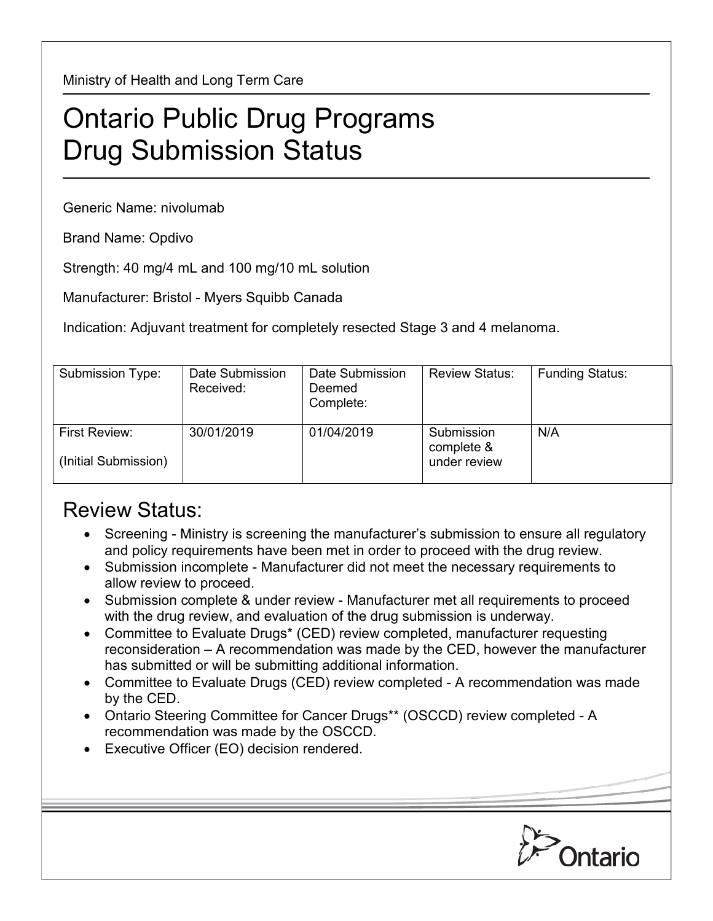Ministry of Health and Long Term Care

## Ontario Public Drug Programs Drug Submission Status

Generic Name: nivolumab

Brand Name: Opdivo

Strength: 40 mg/4 mL and 100 mg/10 mL solution

Manufacturer: Bristol - Myers Squibb Canada

Indication: Adjuvant treatment for completely resected Stage 3 and 4 melanoma.

| Submission Type:     | Date Submission | Date Submission | <b>Review Status:</b> | <b>Funding Status:</b> |
|----------------------|-----------------|-----------------|-----------------------|------------------------|
|                      | Received:       | Deemed          |                       |                        |
|                      |                 |                 |                       |                        |
|                      |                 | Complete:       |                       |                        |
|                      |                 |                 |                       |                        |
|                      |                 |                 |                       |                        |
| First Review:        | 30/01/2019      | 01/04/2019      | Submission            | N/A                    |
|                      |                 |                 |                       |                        |
|                      |                 |                 | complete &            |                        |
| (Initial Submission) |                 |                 | under review          |                        |
|                      |                 |                 |                       |                        |
|                      |                 |                 |                       |                        |

## Review Status:

- Screening Ministry is screening the manufacturer's submission to ensure all regulatory and policy requirements have been met in order to proceed with the drug review.
- Submission incomplete Manufacturer did not meet the necessary requirements to allow review to proceed.
- Submission complete & under review Manufacturer met all requirements to proceed with the drug review, and evaluation of the drug submission is underway.
- Committee to Evaluate Drugs\* (CED) review completed, manufacturer requesting reconsideration – A recommendation was made by the CED, however the manufacturer has submitted or will be submitting additional information.
- Committee to Evaluate Drugs (CED) review completed A recommendation was made by the CED.
- Ontario Steering Committee for Cancer Drugs\*\* (OSCCD) review completed A recommendation was made by the OSCCD.
- Executive Officer (EO) decision rendered.